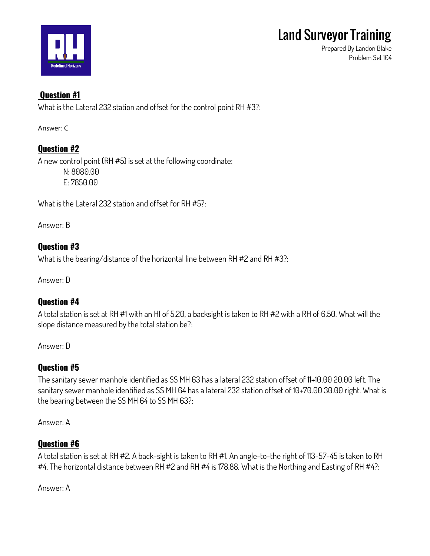

**Prepared By Landon Blake Problem Set 104**

## **Question #1**

**What is the Lateral 232 station and offset for the control point RH #3?:**

Answer: C

### **Question #2**

**A new control point (RH #5) is set at the following coordinate: N: 8080.00 E: 7850.00**

**What is the Lateral 232 station and offset for RH #5?:**

**Answer: B**

### **Question #3**

**What is the bearing/distance of the horizontal line between RH #2 and RH #3?:**

**Answer: D**

### **Question #4**

**A total station is set at RH #1 with an HI of 5.20, a backsight is taken to RH #2 with a RH of 6.50. What will the slope distance measured by the total station be?:**

**Answer: D**

## **Question #5**

**The sanitary sewer manhole identified as SS MH 63 has a lateral 232 station offset of 11+10.00 20.00 left. The sanitary sewer manhole identified as SS MH 64 has a lateral 232 station offset of 10+70.00 30.00 right. What is the bearing between the SS MH 64 to SS MH 63?:**

**Answer: A**

### **Question #6**

**A total station is set at RH #2. A back-sight is taken to RH #1. An angle-to-the right of 113-57-45 is taken to RH #4. The horizontal distance between RH #2 and RH #4 is 178.88. What is the Northing and Easting of RH #4?:**

**Answer: A**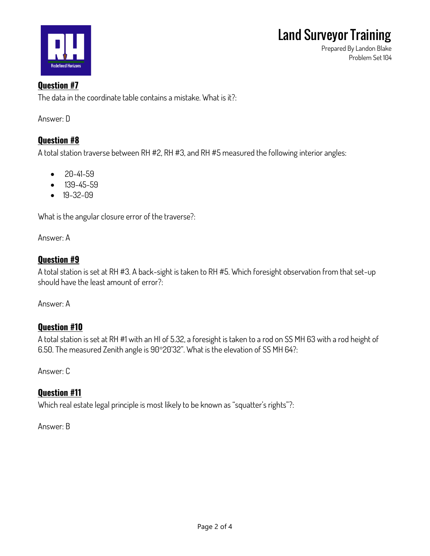

**Prepared By Landon Blake Problem Set 104**

#### **Question #7**

**The data in the coordinate table contains a mistake. What is it?:**

**Answer: D**

#### **Question #8**

**A total station traverse between RH #2, RH #3, and RH #5 measured the following interior angles:**

- **20-41-59**
- **139-45-59**
- **19-32-09**

**What is the angular closure error of the traverse?:**

**Answer: A**

#### **Question #9**

**A total station is set at RH #3. A back-sight is taken to RH #5. Which foresight observation from that set-up should have the least amount of error?:**

**Answer: A**

### **Question #10**

**A total station is set at RH #1 with an HI of 5.32, a foresight is taken to a rod on SS MH 63 with a rod height of 6.50. The measured Zenith angle is 9020'32". What is the elevation of SS MH 64?:**

**Answer: C**

### **Question #11**

**Which real estate legal principle is most likely to be known as "squatter's rights"?:**

**Answer: B**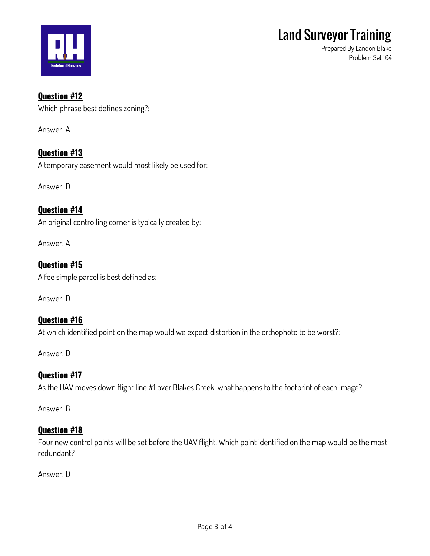

**Prepared By Landon Blake Problem Set 104**

#### **Question #12**

**Which phrase best defines zoning?:**

**Answer: A**

**Question #13 A temporary easement would most likely be used for:**

**Answer: D**

## **Question #14**

**An original controlling corner is typically created by:**

**Answer: A**

#### **Question #15 A fee simple parcel is best defined as:**

**Answer: D**

## **Question #16**

**At which identified point on the map would we expect distortion in the orthophoto to be worst?:**

**Answer: D**

### **Question #17**

**As the UAV moves down flight line #1 over Blakes Creek, what happens to the footprint of each image?:**

**Answer: B**

### **Question #18**

**Four new control points will be set before the UAV flight. Which point identified on the map would be the most redundant?**

**Answer: D**